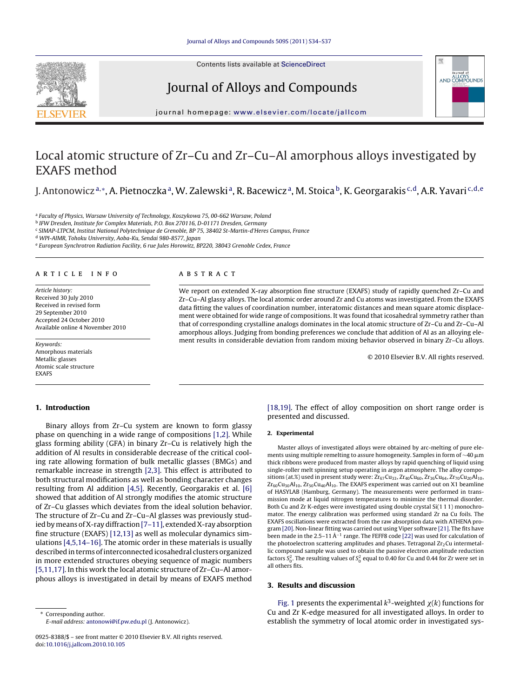

# Journal of Alloys and Compounds



journal homepage: [www.elsevier.com/locate/jallcom](http://www.elsevier.com/locate/jallcom)

# Local atomic structure of Zr–Cu and Zr–Cu–Al amorphous alloys investigated by EXAFS method

J. Antonowicz<sup>a,∗</sup>, A. Pietnoczka<sup>a</sup>, W. Zalewski<sup>a</sup>, R. Bacewicz<sup>a</sup>, M. Stoica<sup>b</sup>, K. Georgarakis <sup>c,d</sup>, A.R. Yavari <sup>c,d,e</sup>

a Faculty of Physics, Warsaw University of Technology, Koszykowa 75, 00-662 Warsaw, Poland

<sup>b</sup> IFW Dresden, Institute for Complex Materials, P.O. Box 270116, D-01171 Dresden, Germany

<sup>c</sup> SIMAP-LTPCM, Institut National Polytechnique de Grenoble, BP 75, 38402 St-Martin-d'Heres Campus, France

<sup>d</sup> WPI-AIMR, Tohoku University, Aoba-Ku, Sendai 980-8577, Japan

<sup>e</sup> European Synchrotron Radiation Facility, 6 rue Jules Horowitz, BP220, 38043 Grenoble Cedex, France

## article info

Article history: Received 30 July 2010 Received in revised form 29 September 2010 Accepted 24 October 2010 Available online 4 November 2010

Keywords: Amorphous materials Metallic glasses Atomic scale structure EXAFS

## ABSTRACT

We report on extended X-ray absorption fine structure (EXAFS) study of rapidly quenched Zr–Cu and Zr–Cu–Al glassy alloys. The local atomic order around Zr and Cu atoms was investigated. From the EXAFS data fitting the values of coordination number, interatomic distances and mean square atomic displacement were obtained for wide range of compositions. It was found that icosahedral symmetry rather than that of corresponding crystalline analogs dominates in the local atomic structure of Zr–Cu and Zr–Cu–Al amorphous alloys. Judging from bonding preferences we conclude that addition of Al as an alloying element results in considerable deviation from random mixing behavior observed in binary Zr–Cu alloys.

© 2010 Elsevier B.V. All rights reserved.

## **1. Introduction**

Binary alloys from Zr–Cu system are known to form glassy phase on quenching in a wide range of compositions [\[1,2\]. W](#page-3-0)hile glass forming ability (GFA) in binary Zr–Cu is relatively high the addition of Al results in considerable decrease of the critical cooling rate allowing formation of bulk metallic glasses (BMGs) and remarkable increase in strength [\[2,3\].](#page-3-0) This effect is attributed to both structural modifications as well as bonding character changes resulting from Al addition [\[4,5\].](#page-3-0) Recently, Georgarakis et al. [\[6\]](#page-3-0) showed that addition of Al strongly modifies the atomic structure of Zr–Cu glasses which deviates from the ideal solution behavior. The structure of Zr–Cu and Zr–Cu–Al glasses was previously studied by means of X-ray diffraction [\[7–11\], e](#page-3-0)xtended X-ray absorption fine structure (EXAFS) [\[12,13\]](#page-3-0) as well as molecular dynamics simulations [\[4,5,14–16\]. T](#page-3-0)he atomic order in these materials is usually described in terms of interconnected icosahedral clusters organized in more extended structures obeying sequence of magic numbers [\[5,11,17\]. I](#page-3-0)n this work the local atomic structure of Zr–Cu–Al amorphous alloys is investigated in detail by means of EXAFS method

∗ Corresponding author. E-mail address: [antonowi@if.pw.edu.pl](mailto:antonowi@if.pw.edu.pl) (J. Antonowicz). [\[18,19\].](#page-3-0) The effect of alloy composition on short range order is presented and discussed.

### **2. Experimental**

Master alloys of investigated alloys were obtained by arc-melting of pure elements using multiple remelting to assure homogeneity. Samples in form of  $\sim$ 40  $\upmu$ m thick ribbons were produced from master alloys by rapid quenching of liquid using single-roller melt spinning setup operating in argon atmosphere. The alloy compositions (at.%) used in present study were:  $\rm Zr_{67}Cu_{33}$ ,  $\rm Zr_{40}Cu_{60}$ ,  $\rm Zr_{36}Cu_{64}$ ,  $\rm Zr_{70}Cu_{20}Al_{10}$ ,  $Zr_{60}Cu_{30}Al_{10}$ ,  $Zr_{50}Cu_{40}Al_{10}$ . The EXAFS experiment was carried out on X1 beamline of HASYLAB (Hamburg, Germany). The measurements were performed in transmission mode at liquid nitrogen temperatures to minimize the thermal disorder. Both Cu and Zr K-edges were investigated using double crystal Si(1 1 1) monochromator. The energy calibration was performed using standard Zr na Cu foils. The EXAFS oscillations were extracted from the raw absorption data with ATHENA program [\[20\]. N](#page-3-0)on-linear fitting was carried out using Viper software [\[21\]. T](#page-3-0)he fits have been made in the 2.5–11Å<sup>-1</sup> range. The FEFF8 code [\[22\]](#page-3-0) was used for calculation of the photoelectron scattering amplitudes and phases. Tetragonal  $Zr<sub>2</sub>Cu$  intermetallic compound sample was used to obtain the passive electron amplitude reduction factors  $S_0^2$ . The resulting values of  $S_0^2$  equal to 0.40 for Cu and 0.44 for Zr were set in all others fits.

#### **3. Results and discussion**

[Fig. 1](#page-1-0) presents the experimental  $k^3$ -weighted  $\chi(k)$  functions for Cu and Zr K-edge measured for all investigated alloys. In order to establish the symmetry of local atomic order in investigated sys-

<sup>0925-8388/\$ –</sup> see front matter © 2010 Elsevier B.V. All rights reserved. doi:[10.1016/j.jallcom.2010.10.105](dx.doi.org/10.1016/j.jallcom.2010.10.105)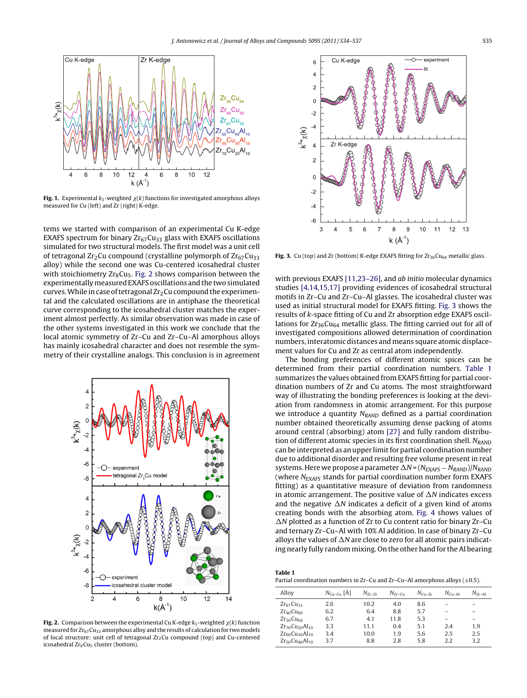<span id="page-1-0"></span>

**Fig. 1.** Experimental  $k_3$ -weighted  $\chi(k)$  functions for investigated amorphous alloys measured for Cu (left) and Zr (right) K-edge.

tems we started with comparison of an experimental Cu K-edge EXAFS spectrum for binary  $Zr_{67}Cu_{33}$  glass with EXAFS oscillations simulated for two structural models. The first model was a unit cell of tetragonal  $Zr_2Cu$  compound (crystalline polymorph of  $Zr_{67}Cu_{33}$ ) alloy) while the second one was Cu-centered icosahedral cluster with stoichiometry  $Zr_8Cu_5$ . Fig. 2 shows comparison between the experimentallymeasured EXAFS oscillations and the two simulated curves. While in case of tetragonal  $Zr<sub>2</sub>Cu$  compound the experimental and the calculated oscillations are in antiphase the theoretical curve corresponding to the icosahedral cluster matches the experiment almost perfectly. As similar observation was made in case of the other systems investigated in this work we conclude that the local atomic symmetry of Zr–Cu and Zr–Cu–Al amorphous alloys has mainly icosahedral character and does not resemble the symmetry of their crystalline analogs. This conclusion is in agreement



**Fig. 2.** Comparison between the experimental Cu K-edge  $k_3$ -weighted  $\chi(k)$  function measured for  $Z_{\text{Fe}}$  Cu<sub>33</sub> amorphous alloy and the results of calculation for two models of local structure: unit cell of tetragonal  $Zr_2Cu$  compound (top) and Cu-centered icosahedral Zr<sub>8</sub>Cu<sub>5</sub> cluster (bottom).



Fig. 3. Cu (top) and Zr (bottom) K-edge EXAFS fitting for  $Zr_{36}Cu_{64}$  metallic glass.

with previous EXAFS [\[11,23–26\], a](#page-3-0)nd *ab initio* molecular dynamics studies [\[4,14,15,17\]](#page-3-0) providing evidences of icosahedral structural motifs in Zr–Cu and Zr–Cu–Al glasses. The icosahedral cluster was used as initial structural model for EXAFS fitting. Fig. 3 shows the results of k-space fitting of Cu and Zr absorption edge EXAFS oscillations for  $Zr_{36}Cu_{64}$  metallic glass. The fitting carried out for all of investigated compositions allowed determination of coordination numbers, interatomic distances and means square atomic displacement values for Cu and Zr as central atom independently.

The bonding preferences of different atomic spices can be determined from their partial coordination numbers. Table 1 summarizes the values obtained from EXAFS fitting for partial coordination numbers of Zr and Cu atoms. The most straightforward way of illustrating the bonding preferences is looking at the deviation from randomness in atomic arrangement. For this purpose we introduce a quantity  $N_{RAND}$  defined as a partial coordination number obtained theoretically assuming dense packing of atoms around central (absorbing) atom [\[27\]](#page-3-0) and fully random distribution of different atomic species in its first coordination shell.  $N_{RAND}$ can be interpreted as an upper limit for partial coordination number due to additional disorder and resulting free volume present in real systems. Here we propose a parameter  $\Delta N = (N_{EXAFS} - N_{RAND})/N_{RAND}$ (where  $N_{\text{EXAFS}}$  stands for partial coordination number form EXAFS fitting) as a quantitative measure of deviation from randomness in atomic arrangement. The positive value of  $\Delta N$  indicates excess and the negative  $\Delta N$  indicates a deficit of a given kind of atoms creating bonds with the absorbing atom. [Fig. 4](#page-2-0) shows values of  $\Delta N$  plotted as a function of Zr to Cu content ratio for binary Zr-Cu and ternary Zr–Cu–Al with 10% Al addition. In case of binary Zr–Cu alloys the values of  $\Delta N$  are close to zero for all atomic pairs indicating nearly fully random mixing. On the other hand for the Al bearing

| Table 1                                                                           |  |
|-----------------------------------------------------------------------------------|--|
| Partial coordination numbers in Zr–Cu and Zr–Cu–Al amorphous alloys ( $\pm$ 0.5). |  |

| Allov                   | $N_{Cu-Cu}$ [Å] | $N_{7r-7r}$ | $N_{Zr-C11}$ | $N_{\text{Cu-Zr}}$ | $N_{\text{Cu-Al}}$ | $N_{Zr-Al}$              |
|-------------------------|-----------------|-------------|--------------|--------------------|--------------------|--------------------------|
| $Zr_{67}Cu_{33}$        | 2.6             | 10.2        | 4.0          | 8.6                |                    | $\overline{\phantom{0}}$ |
| $Zr_{40}Cu_{60}$        | 6.2             | 6.4         | 8.8          | 5.7                |                    | $\overline{\phantom{0}}$ |
| $Zr_{36}Cu_{64}$        | 6.7             | 4.1         | 11.8         | 5.3                |                    | $\overline{\phantom{0}}$ |
| $Zr_{70}Cu_{20}Al_{10}$ | 3.3             | 11.1        | 0.4          | 5.1                | 2.4                | 1.9                      |
| $Zr_{60}Cu_{30}Al_{10}$ | 3.4             | 10.0        | 1.9          | 5.6                | 2.5                | 2.5                      |
| $Zr_{50}Cu_{40}Al_{10}$ | 3.7             | 8.8         | 2.8          | 5.8                | 2.2                | 3.2                      |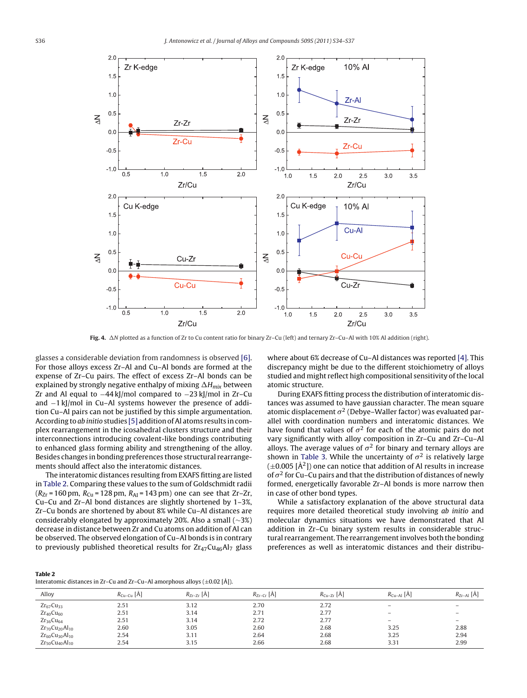<span id="page-2-0"></span>

**Fig. 4.** N plotted as a function of Zr to Cu content ratio for binary Zr–Cu (left) and ternary Zr–Cu–Al with 10% Al addition (right).

glasses a considerable deviation from randomness is observed [\[6\].](#page-3-0) For those alloys excess Zr–Al and Cu–Al bonds are formed at the expense of Zr–Cu pairs. The effect of excess Zr–Al bonds can be explained by strongly negative enthalpy of mixing  $\Delta H_{mix}$  between Zr and Al equal to −44 kJ/mol compared to −23 kJ/mol in Zr–Cu and −1 kJ/mol in Cu–Al systems however the presence of addition Cu–Al pairs can not be justified by this simple argumentation. According to ab initio studies [\[5\]](#page-3-0) addition of Al atoms results in complex rearrangement in the icosahedral clusters structure and their interconnections introducing covalent-like bondings contributing to enhanced glass forming ability and strengthening of the alloy. Besides changes in bonding preferences those structural rearrangements should affect also the interatomic distances.

The interatomic distances resulting from EXAFS fitting are listed in Table 2. Comparing these values to the sum of Goldschmidt radii  $(R_{Zr} = 160 \text{ pm}, R_{Cu} = 128 \text{ pm}, R_{Al} = 143 \text{ pm}$ ) one can see that Zr–Zr, Cu–Cu and Zr–Al bond distances are slightly shortened by 1–3%, Zr–Cu bonds are shortened by about 8% while Cu–Al distances are considerably elongated by approximately 20%. Also a small (∼3%) decrease in distance between Zr and Cu atoms on addition of Al can be observed. The observed elongation of Cu–Al bonds is in contrary to previously published theoretical results for  $Zr_{47}Cu_{46}Al_{7}$  glass where about 6% decrease of Cu–Al distances was reported [\[4\]. T](#page-3-0)his discrepancy might be due to the different stoichiometry of alloys studied and might reflect high compositional sensitivity of the local atomic structure.

During EXAFS fitting process the distribution of interatomic distances was assumed to have gaussian character. The mean square atomic displacement  $\sigma^2$  (Debye–Waller factor) was evaluated parallel with coordination numbers and interatomic distances. We have found that values of  $\sigma^2$  for each of the atomic pairs do not vary significantly with alloy composition in Zr–Cu and Zr–Cu–Al alloys. The average values of  $\sigma^2$  for binary and ternary alloys are shown in [Table 3.](#page-3-0) While the uncertainty of  $\sigma^2$  is relatively large  $(\pm 0.005 \, \text{A}^2)$  one can notice that addition of Al results in increase of  $\sigma^2$  for Cu–Cu pairs and that the distribution of distances of newly formed, energetically favorable Zr–Al bonds is more narrow then in case of other bond types.

While a satisfactory explanation of the above structural data requires more detailed theoretical study involving ab initio and molecular dynamics situations we have demonstrated that Al addition in Zr–Cu binary system results in considerable structural rearrangement. The rearrangement involves both the bonding preferences as well as interatomic distances and their distribu-

| anı |  |
|-----|--|
|-----|--|

| Allov                   | $R_{Cu-Cu}$ [Å] | $R_{Zr-Zr}$ [Å] | $R_{Zr-Cr}$ [Å] | $R_{Cu-Zr}$ [Å] | $R_{Cu-Al}$ [A] | $R_{Zr-Al}$ [A]   |
|-------------------------|-----------------|-----------------|-----------------|-----------------|-----------------|-------------------|
| $Zr_{67}Cu_{33}$        | 2.51            | 3.12            | 2.70            | 2.72            | -               | $\qquad \qquad -$ |
| $Zr_{40}Cu_{60}$        | 2.51            | 3.14            | 2.71            | 2.77            | -               | $\qquad \qquad -$ |
| $Zr_{36}Cu_{64}$        | 2.51            | 3.14            | 2.72            | 2.77            | -               | $\qquad \qquad -$ |
| $Zr_{70}Cu_{20}Al_{10}$ | 2.60            | 3.05            | 2.60            | 2.68            | 3.25            | 2.88              |
| $Zr_{60}Cu_{30}Al_{10}$ | 2.54            | 3.11            | 2.64            | 2.68            | 3.25            | 2.94              |
| $Zr_{50}Cu_{40}Al_{10}$ | 2.54            | 3.15            | 2.66            | 2.68            | 3.31            | 2.99              |